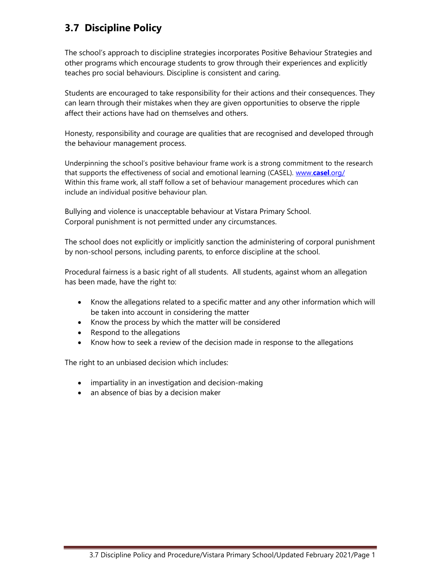# 3.7 Discipline Policy

The school's approach to discipline strategies incorporates Positive Behaviour Strategies and other programs which encourage students to grow through their experiences and explicitly teaches pro social behaviours. Discipline is consistent and caring.

Students are encouraged to take responsibility for their actions and their consequences. They can learn through their mistakes when they are given opportunities to observe the ripple affect their actions have had on themselves and others.

Honesty, responsibility and courage are qualities that are recognised and developed through the behaviour management process.

Underpinning the school's positive behaviour frame work is a strong commitment to the research that supports the effectiveness of social and emotional learning (CASEL). www.casel.org/ Within this frame work, all staff follow a set of behaviour management procedures which can include an individual positive behaviour plan.

Bullying and violence is unacceptable behaviour at Vistara Primary School. Corporal punishment is not permitted under any circumstances.

The school does not explicitly or implicitly sanction the administering of corporal punishment by non-school persons, including parents, to enforce discipline at the school.

Procedural fairness is a basic right of all students. All students, against whom an allegation has been made, have the right to:

- Know the allegations related to a specific matter and any other information which will be taken into account in considering the matter
- Know the process by which the matter will be considered
- Respond to the allegations
- Know how to seek a review of the decision made in response to the allegations

The right to an unbiased decision which includes:

- impartiality in an investigation and decision-making
- an absence of bias by a decision maker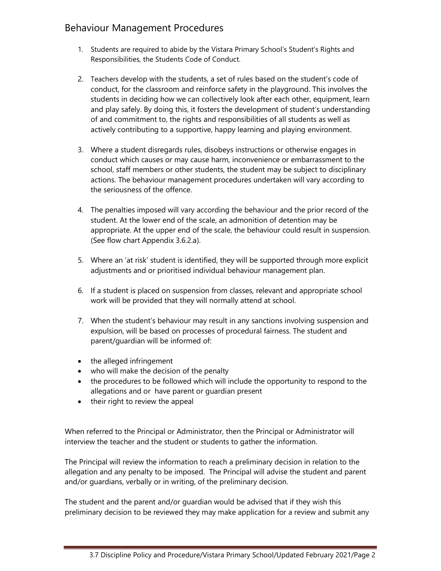# Behaviour Management Procedures

- 1. Students are required to abide by the Vistara Primary School's Student's Rights and Responsibilities, the Students Code of Conduct.
- 2. Teachers develop with the students, a set of rules based on the student's code of conduct, for the classroom and reinforce safety in the playground. This involves the students in deciding how we can collectively look after each other, equipment, learn and play safely. By doing this, it fosters the development of student's understanding of and commitment to, the rights and responsibilities of all students as well as actively contributing to a supportive, happy learning and playing environment.
- 3. Where a student disregards rules, disobeys instructions or otherwise engages in conduct which causes or may cause harm, inconvenience or embarrassment to the school, staff members or other students, the student may be subject to disciplinary actions. The behaviour management procedures undertaken will vary according to the seriousness of the offence.
- 4. The penalties imposed will vary according the behaviour and the prior record of the student. At the lower end of the scale, an admonition of detention may be appropriate. At the upper end of the scale, the behaviour could result in suspension. (See flow chart Appendix 3.6.2.a).
- 5. Where an 'at risk' student is identified, they will be supported through more explicit adjustments and or prioritised individual behaviour management plan.
- 6. If a student is placed on suspension from classes, relevant and appropriate school work will be provided that they will normally attend at school.
- 7. When the student's behaviour may result in any sanctions involving suspension and expulsion, will be based on processes of procedural fairness. The student and parent/guardian will be informed of:
- the alleged infringement
- who will make the decision of the penalty
- the procedures to be followed which will include the opportunity to respond to the allegations and or have parent or guardian present
- their right to review the appeal

When referred to the Principal or Administrator, then the Principal or Administrator will interview the teacher and the student or students to gather the information.

The Principal will review the information to reach a preliminary decision in relation to the allegation and any penalty to be imposed. The Principal will advise the student and parent and/or guardians, verbally or in writing, of the preliminary decision.

The student and the parent and/or guardian would be advised that if they wish this preliminary decision to be reviewed they may make application for a review and submit any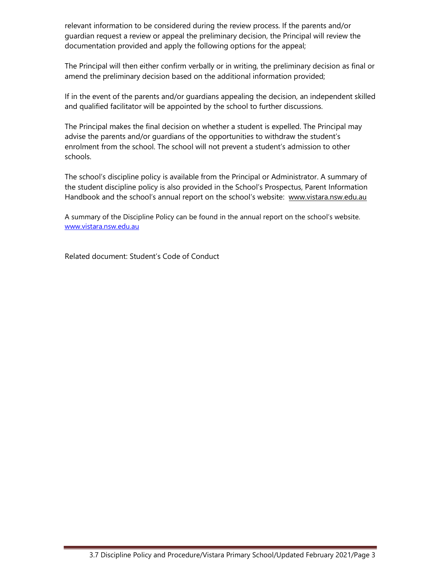relevant information to be considered during the review process. If the parents and/or guardian request a review or appeal the preliminary decision, the Principal will review the documentation provided and apply the following options for the appeal;

The Principal will then either confirm verbally or in writing, the preliminary decision as final or amend the preliminary decision based on the additional information provided;

If in the event of the parents and/or guardians appealing the decision, an independent skilled and qualified facilitator will be appointed by the school to further discussions.

The Principal makes the final decision on whether a student is expelled. The Principal may advise the parents and/or guardians of the opportunities to withdraw the student's enrolment from the school. The school will not prevent a student's admission to other schools.

The school's discipline policy is available from the Principal or Administrator. A summary of the student discipline policy is also provided in the School's Prospectus, Parent Information Handbook and the school's annual report on the school's website: www.vistara.nsw.edu.au

A summary of the Discipline Policy can be found in the annual report on the school's website. www.vistara.nsw.edu.au

Related document: Student's Code of Conduct